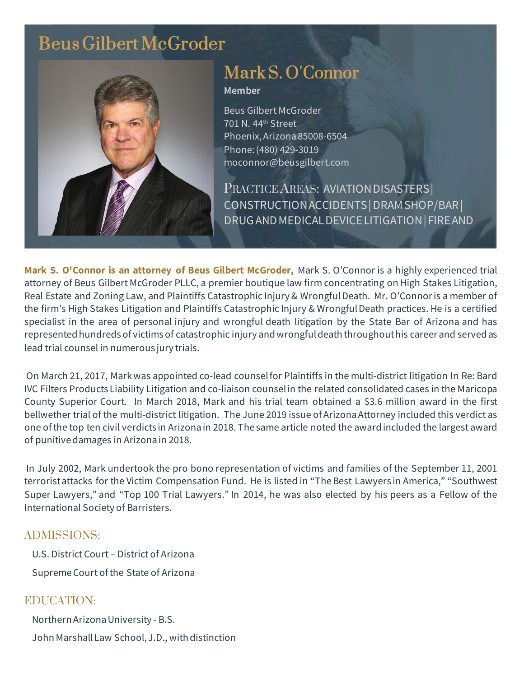## Beus Gilbert McGroder



# Mark S. O'Connor

#### **Member**

Beus Gilbert McGroder 701 N. 44th Street Phoenix, Arizona 85008-6504 Phone: (480) 429-3019 moconnor@beusgilbert.com

PRACTICE AREAS: AVIATION DISASTERS CONSTRUCTIONACCIDENTS|DRAMSHOP/BAR| DRUGANDMEDICALDEVICELITIGATION| FIREAND

**Mark S. O'Connor is an attorney of Beus Gilbert McGroder,** Mark S. O'Connor is a highly experienced trial attorney of Beus Gilbert McGroder PLLC, a premier boutique law firm concentrating on High Stakes Litigation, Real Estate and Zoning Law, and Plaintiffs Catastrophic Injury & Wrongful Death. Mr. O'Connor is a member of the firm's High Stakes Litigation and Plaintiffs Catastrophic Injury & Wrongful Death practices. He is a certified specialist in the area of personal injury and wrongful death litigation by the State Bar of Arizona and has represented hundreds of victims of catastrophic injury and wrongful death throughout his career and served as lead trial counsel in numerous jury trials.

On March 21, 2017, Mark was appointed co-lead counsel for Plaintiffs in the multi-district litigation In Re: Bard IVC Filters Products Liability Litigation and co-liaison counsel in the related consolidated cases in the Maricopa County Superior Court. In March 2018, Mark and his trial team obtained a \$3.6 million award in the first bellwether trial of the multi-district litigation. The June 2019 issue of Arizona Attorney included this verdict as one of the top ten civil verdicts in Arizona in 2018. The same article noted the award included the largest award of punitive damages in Arizona in 2018.

In July 2002, Mark undertook the pro bono representation of victims and families of the September 11, 2001 terrorist attacks for the Victim Compensation Fund. He is listed in "The Best Lawyers in America," "Southwest Super Lawyers," and "Top 100 Trial Lawyers." In 2014, he was also elected by his peers as a Fellow of the International Society of Barristers.

#### ADMISSIONS:

U.S. District Court – District of Arizona Supreme Court of the State of Arizona

### EDUCATION:

Northern Arizona University - B.S. John Marshall Law School, J.D., with distinction